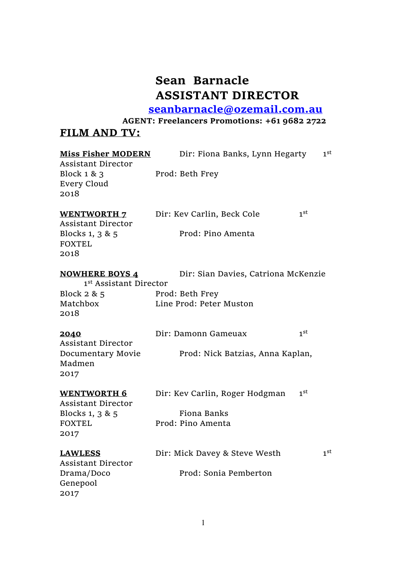# **Sean Barnacle ASSISTANT DIRECTOR**

 **seanbarnacle@ozemail.com.au**

**AGENT: Freelancers Promotions: +61 9682 2722**

## **FILM AND TV:**

| <b>Miss Fisher MODERN</b><br><b>Assistant Director</b>      | Dir: Fiona Banks, Lynn Hegarty      | 1 <sup>st</sup> |
|-------------------------------------------------------------|-------------------------------------|-----------------|
| Block 1 & 3<br>Every Cloud<br>2018                          | Prod: Beth Frey                     |                 |
| <b>WENTWORTH 7</b><br><b>Assistant Director</b>             | Dir: Kev Carlin, Beck Cole          | 1 <sup>st</sup> |
| Blocks 1, 3 & 5<br><b>FOXTEL</b><br>2018                    | Prod: Pino Amenta                   |                 |
| <b>NOWHERE BOYS 4</b><br>1 <sup>st</sup> Assistant Director | Dir: Sian Davies, Catriona McKenzie |                 |
| Block $2 & 5$                                               | Prod: Beth Frey                     |                 |
| Matchbox<br>2018                                            | Line Prod: Peter Muston             |                 |
| 2040<br><b>Assistant Director</b>                           | Dir: Damonn Gameuax                 | 1 <sup>st</sup> |
| Documentary Movie<br>Madmen<br>2017                         | Prod: Nick Batzias, Anna Kaplan,    |                 |
| <b>WENTWORTH 6</b><br><b>Assistant Director</b>             | Dir: Kev Carlin, Roger Hodgman      | 1 <sup>st</sup> |
| Blocks 1, 3 & 5                                             | <b>Fiona Banks</b>                  |                 |
| <b>FOXTEL</b><br>2017                                       | Prod: Pino Amenta                   |                 |
| <b>LAWLESS</b><br><b>Assistant Director</b>                 | Dir: Mick Davey & Steve Westh       | 1 <sup>st</sup> |
| Drama/Doco<br>Genepool<br>2017                              | Prod: Sonia Pemberton               |                 |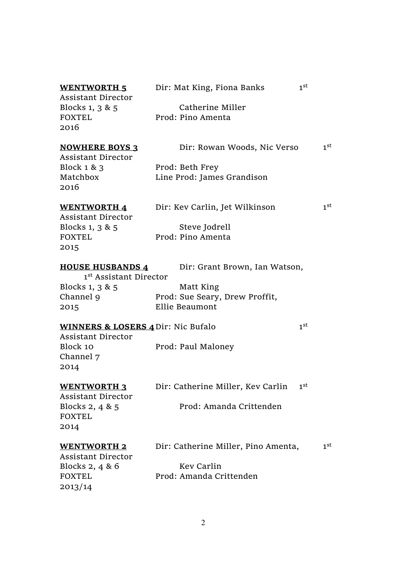### **WENTWORTH 5** Dir: Mat King, Fiona Banks 1st Assistant Director Blocks 1, 3 & 5 Catherine Miller FOXTEL Prod: Pino Amenta 2016 **NOWHERE BOYS 3** Dir: Rowan Woods, Nic Verso 1 1st Assistant Director Block 1 & 3 Prod: Beth Frey Matchbox Line Prod: James Grandison 2016 **WENTWORTH 4** Dir: Kev Carlin, Jet Wilkinson 1st Assistant Director Blocks 1, 3 & 5 Steve Jodrell FOXTEL Prod: Pino Amenta 2015 **HOUSE HUSBANDS 4** Dir: Grant Brown, Ian Watson, 1st Assistant Director Blocks 1, 3 & 5 Matt King Channel 9 Prod: Sue Seary, Drew Proffit, 2015 Ellie Beaumont **WINNERS & LOSERS 4** Dir: Nic Bufalo 1st Assistant Director Block 10 Prod: Paul Maloney Channel 7 2014 **WENTWORTH 3** Dir: Catherine Miller, Kev Carlin 1st Assistant Director Blocks 2, 4 & 5 Prod: Amanda Crittenden FOXTEL 2014 **WENTWORTH 2** Dir: Catherine Miller, Pino Amenta, 1st Assistant Director Blocks 2, 4 & 6 Kev Carlin FOXTEL Prod: Amanda Crittenden

2013/14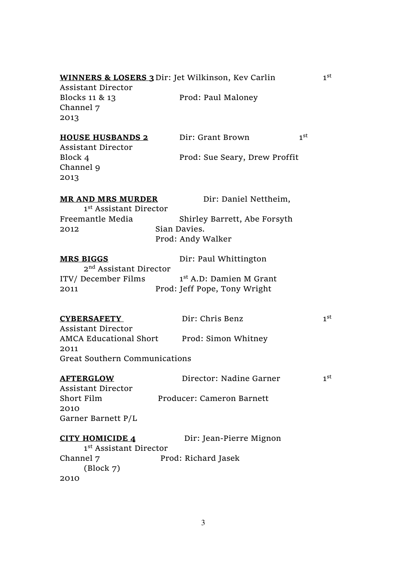|                                              | WINNERS & LOSERS 3 Dir: Jet Wilkinson, Kev Carlin | 1 <sup>st</sup> |
|----------------------------------------------|---------------------------------------------------|-----------------|
| <b>Assistant Director</b>                    |                                                   |                 |
| Blocks 11 & 13                               | Prod: Paul Maloney                                |                 |
| Channel 7                                    |                                                   |                 |
| 2013                                         |                                                   |                 |
|                                              |                                                   |                 |
| <u>HOUSE HUSBANDS 2</u>                      | Dir: Grant Brown                                  | 1 <sup>st</sup> |
| <b>Assistant Director</b>                    |                                                   |                 |
| Block 4                                      | Prod: Sue Seary, Drew Proffit                     |                 |
| Channel 9                                    |                                                   |                 |
| 2013                                         |                                                   |                 |
| <u>MR AND MRS MURDER</u>                     | Dir: Daniel Nettheim,                             |                 |
| 1 <sup>st</sup> Assistant Director           |                                                   |                 |
| Freemantle Media                             | Shirley Barrett, Abe Forsyth                      |                 |
| 2012                                         | Sian Davies.                                      |                 |
|                                              | Prod: Andy Walker                                 |                 |
|                                              |                                                   |                 |
| <b>MRS BIGGS</b>                             | Dir: Paul Whittington                             |                 |
| 2 <sup>nd</sup> Assistant Director           |                                                   |                 |
| ITV/ December Films                          | 1 <sup>st</sup> A.D: Damien M Grant               |                 |
| 2011                                         | Prod: Jeff Pope, Tony Wright                      |                 |
|                                              |                                                   |                 |
|                                              |                                                   | 1 <sup>st</sup> |
| <b>CYBERSAFETY</b>                           | Dir: Chris Benz                                   |                 |
| <b>Assistant Director</b>                    |                                                   |                 |
|                                              | AMCA Educational Short Prod: Simon Whitney        |                 |
| 2011<br><b>Great Southern Communications</b> |                                                   |                 |
|                                              |                                                   |                 |
| <u>AFTERGLOW</u>                             | Director: Nadine Garner                           | 1 <sup>st</sup> |
| <b>Assistant Director</b>                    |                                                   |                 |
| Short Film                                   | Producer: Cameron Barnett                         |                 |
| 2010                                         |                                                   |                 |
| Garner Barnett P/L                           |                                                   |                 |
|                                              |                                                   |                 |
| CITY HOMICIDE 4                              | Dir: Jean-Pierre Mignon                           |                 |
| 1 <sup>st</sup> Assistant Director           |                                                   |                 |
| Channel 7                                    | Prod: Richard Jasek                               |                 |
| (Block 7)                                    |                                                   |                 |
| 2010                                         |                                                   |                 |